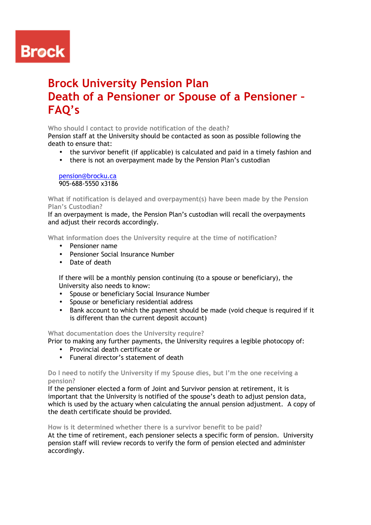# **Brock**

# **Brock University Pension Plan Death of a Pensioner or Spouse of a Pensioner – FAQ's**

# **Who should I contact to provide notification of the death?**

Pension staff at the University should be contacted as soon as possible following the death to ensure that:

- the survivor benefit (if applicable) is calculated and paid in a timely fashion and
- there is not an overpayment made by the Pension Plan's custodian

pension@brocku.ca 905-688-5550 x3186

**What if notification is delayed and overpayment(s) have been made by the Pension Plan's Custodian?** 

If an overpayment is made, the Pension Plan's custodian will recall the overpayments and adjust their records accordingly.

**What information does the University require at the time of notification?** 

- Pensioner name
- Pensioner Social Insurance Number
- Date of death

If there will be a monthly pension continuing (to a spouse or beneficiary), the University also needs to know:

- Spouse or beneficiary Social Insurance Number
- Spouse or beneficiary residential address
- Bank account to which the payment should be made (void cheque is required if it is different than the current deposit account)

# **What documentation does the University require?**

Prior to making any further payments, the University requires a legible photocopy of:

- Provincial death certificate or
- Funeral director's statement of death

# **Do I need to notify the University if my Spouse dies, but I'm the one receiving a pension?**

If the pensioner elected a form of Joint and Survivor pension at retirement, it is important that the University is notified of the spouse's death to adjust pension data, which is used by the actuary when calculating the annual pension adjustment. A copy of the death certificate should be provided.

**How is it determined whether there is a survivor benefit to be paid?** 

At the time of retirement, each pensioner selects a specific form of pension. University pension staff will review records to verify the form of pension elected and administer accordingly.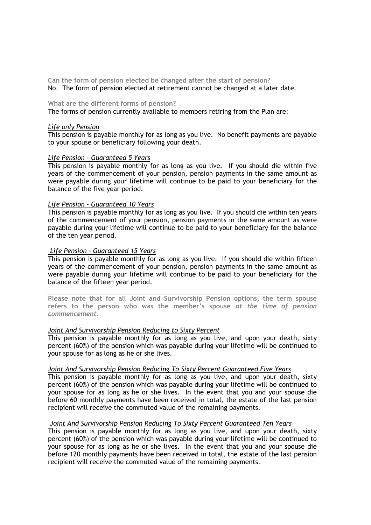**Can the form of pension elected be changed after the start of pension?**  No. The form of pension elected at retirement cannot be changed at a later date.

#### **What are the different forms of pension?**

The forms of pension currently available to members retiring from the Plan are:

#### *Life only Pension*

This pension is payable monthly for as long as you live. No benefit payments are payable to your spouse or beneficiary following your death.

# *Life Pension - Guaranteed 5 Years*

This pension is payable monthly for as long as you live. If you should die within five years of the commencement of your pension, pension payments in the same amount as were payable during your lifetime will continue to be paid to your beneficiary for the balance of the five year period.

#### *Life Pension - Guaranteed 10 Years*

This pension is payable monthly for as long as you live. If you should die within ten years of the commencement of your pension, pension payments in the same amount as were payable during your lifetime will continue to be paid to your beneficiary for the balance of the ten year period.

### *Life Pension - Guaranteed 15 Years*

This pension is payable monthly for as long as you live. If you should die within fifteen years of the commencement of your pension, pension payments in the same amount as were payable during your lifetime will continue to be paid to your beneficiary for the balance of the fifteen year period.

**Please note that for all Joint and Survivorship Pension options, the term spouse refers to the person who was the member's spouse** *at the time of pension commencement***.** 

# *Joint And Survivorship Pension Reducing to Sixty Percent*

This pension is payable monthly for as long as you live, and upon your death, sixty percent (60%) of the pension which was payable during your lifetime will be continued to your spouse for as long as he or she lives.

#### *Joint And Survivorship Pension Reducing To Sixty Percent Guaranteed Five Years*

This pension is payable monthly for as long as you live, and upon your death, sixty percent (60%) of the pension which was payable during your lifetime will be continued to your spouse for as long as he or she lives. In the event that you and your spouse die before 60 monthly payments have been received in total, the estate of the last pension recipient will receive the commuted value of the remaining payments.

#### *Joint And Survivorship Pension Reducing To Sixty Percent Guaranteed Ten Years*

This pension is payable monthly for as long as you live, and upon your death, sixty percent (60%) of the pension which was payable during your lifetime will be continued to your spouse for as long as he or she lives. In the event that you and your spouse die before 120 monthly payments have been received in total, the estate of the last pension recipient will receive the commuted value of the remaining payments.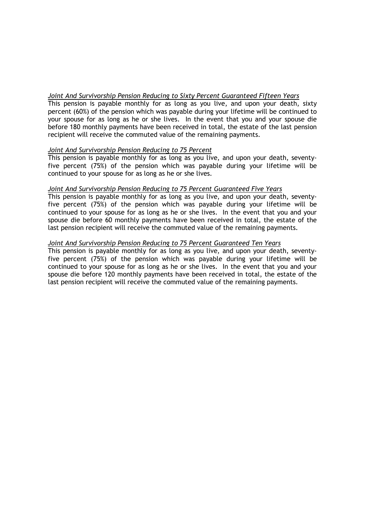# *Joint And Survivorship Pension Reducing to Sixty Percent Guaranteed Fifteen Years*

This pension is payable monthly for as long as you live, and upon your death, sixty percent (60%) of the pension which was payable during your lifetime will be continued to your spouse for as long as he or she lives. In the event that you and your spouse die before 180 monthly payments have been received in total, the estate of the last pension recipient will receive the commuted value of the remaining payments.

# *Joint And Survivorship Pension Reducing to 75 Percent*

This pension is payable monthly for as long as you live, and upon your death, seventyfive percent (75%) of the pension which was payable during your lifetime will be continued to your spouse for as long as he or she lives.

# *Joint And Survivorship Pension Reducing to 75 Percent Guaranteed Five Years*

This pension is payable monthly for as long as you live, and upon your death, seventyfive percent (75%) of the pension which was payable during your lifetime will be continued to your spouse for as long as he or she lives. In the event that you and your spouse die before 60 monthly payments have been received in total, the estate of the last pension recipient will receive the commuted value of the remaining payments.

# *Joint And Survivorship Pension Reducing to 75 Percent Guaranteed Ten Years*

This pension is payable monthly for as long as you live, and upon your death, seventyfive percent (75%) of the pension which was payable during your lifetime will be continued to your spouse for as long as he or she lives. In the event that you and your spouse die before 120 monthly payments have been received in total, the estate of the last pension recipient will receive the commuted value of the remaining payments.